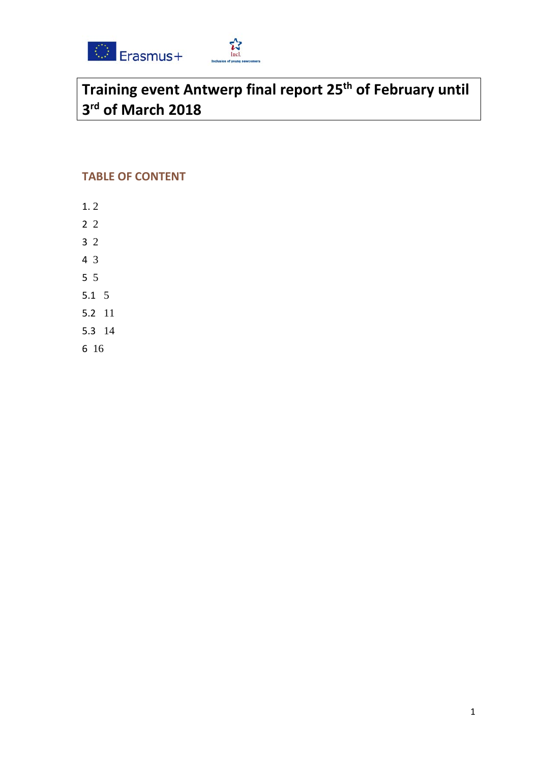



# **Training event Antwerp final report 25th of February until 3rd of March 2018**

# **TABLE OF CONTENT**

- [1.](#page-1-0) 2
- [2](#page-1-1) 2
- [3](#page-1-2) 2
- [4](#page-2-0) 3
- [5](#page-4-0) 5
- [5.1](#page-4-1) 5
- [5.2](#page-10-0) 11
- [5.3](#page-13-0) 14
- 
- [6](#page-15-0) 16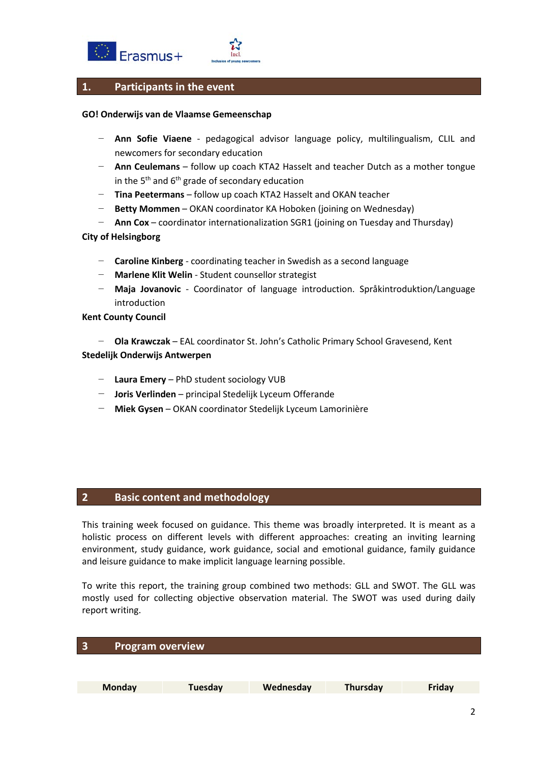



## <span id="page-1-0"></span>**1. Participants in the event**

#### **GO! Onderwijs van de Vlaamse Gemeenschap**

- − **Ann Sofie Viaene** pedagogical advisor language policy, multilingualism, CLIL and newcomers for secondary education
- − **Ann Ceulemans** follow up coach KTA2 Hasselt and teacher Dutch as a mother tongue in the  $5<sup>th</sup>$  and  $6<sup>th</sup>$  grade of secondary education
- − **Tina Peetermans** follow up coach KTA2 Hasselt and OKAN teacher
- **Betty Mommen** OKAN coordinator KA Hoboken (joining on Wednesday)
- − **Ann Cox** coordinator internationalization SGR1 (joining on Tuesday and Thursday)

#### **City of Helsingborg**

- − **Caroline Kinberg** coordinating teacher in Swedish as a second language
- − **Marlene Klit Welin** Student counsellor strategist
- − **Maja Jovanovic** Coordinator of language introduction. Språkintroduktion/Language introduction

#### **Kent County Council**

− **Ola Krawczak** – EAL coordinator St. John's Catholic Primary School Gravesend, Kent **Stedelijk Onderwijs Antwerpen**

- − **Laura Emery** PhD student sociology VUB
- − **Joris Verlinden** principal Stedelijk Lyceum Offerande
- − **Miek Gysen** OKAN coordinator Stedelijk Lyceum Lamorinière

## <span id="page-1-1"></span>**2 Basic content and methodology**

This training week focused on guidance. This theme was broadly interpreted. It is meant as a holistic process on different levels with different approaches: creating an inviting learning environment, study guidance, work guidance, social and emotional guidance, family guidance and leisure guidance to make implicit language learning possible.

To write this report, the training group combined two methods: GLL and SWOT. The GLL was mostly used for collecting objective observation material. The SWOT was used during daily report writing.

<span id="page-1-2"></span>

| $\overline{\phantom{a}}$ | <b>Program overview</b> |         |           |          |        |
|--------------------------|-------------------------|---------|-----------|----------|--------|
|                          |                         |         |           |          |        |
|                          |                         |         |           |          |        |
|                          | <b>Monday</b>           | Tuesday | Wednesday | Thursday | Friday |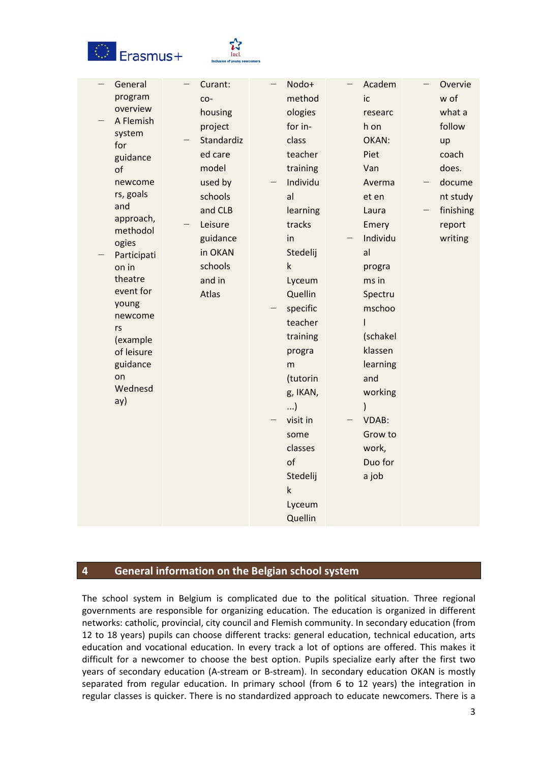



| of<br>rs | General<br>program<br>overview<br>A Flemish<br>system<br>for<br>guidance<br>newcome<br>rs, goals<br>and<br>approach,<br>methodol<br>ogies<br>Participati<br>on in<br>theatre<br>event for<br>young<br>newcome<br>(example<br>of leisure<br>guidance<br>on<br>Wednesd<br>ay) | $\overline{\phantom{0}}$ | Curant:<br>co-<br>housing<br>project<br>Standardiz<br>ed care<br>model<br>used by<br>schools<br>and CLB<br>Leisure<br>guidance<br>in OKAN<br>schools<br>and in<br>Atlas | Nodo+<br>method<br>ologies<br>for in-<br>class<br>teacher<br>training<br>Individu<br>al<br>learning<br>tracks<br>in<br>Stedelij<br>$\sf k$<br>Lyceum<br>Quellin<br>specific<br>teacher<br>training<br>progra<br>m<br>(tutorin<br>g, IKAN,<br>)<br>visit in<br>some<br>classes<br>of<br>Stedelij<br>$\sf k$<br>Lyceum<br>Quellin | $\qquad \qquad -$ | Academ<br>ic<br>researc<br>h on<br>OKAN:<br>Piet<br>Van<br>Averma<br>et en<br>Laura<br>Emery<br>Individu<br>al<br>progra<br>ms in<br>Spectru<br>mschoo<br>I<br>(schakel<br>klassen<br>learning<br>and<br>working<br><b>VDAB:</b><br>Grow to<br>work,<br>Duo for<br>a job | Overvie<br>w of<br>what a<br>follow<br>up<br>coach<br>does.<br>docume<br>nt study<br>finishing<br>report<br>writing |
|----------|-----------------------------------------------------------------------------------------------------------------------------------------------------------------------------------------------------------------------------------------------------------------------------|--------------------------|-------------------------------------------------------------------------------------------------------------------------------------------------------------------------|---------------------------------------------------------------------------------------------------------------------------------------------------------------------------------------------------------------------------------------------------------------------------------------------------------------------------------|-------------------|--------------------------------------------------------------------------------------------------------------------------------------------------------------------------------------------------------------------------------------------------------------------------|---------------------------------------------------------------------------------------------------------------------|

## <span id="page-2-0"></span>**4 General information on the Belgian school system**

The school system in Belgium is complicated due to the political situation. Three regional governments are responsible for organizing education. The education is organized in different networks: catholic, provincial, city council and Flemish community. In secondary education (from 12 to 18 years) pupils can choose different tracks: general education, technical education, arts education and vocational education. In every track a lot of options are offered. This makes it difficult for a newcomer to choose the best option. Pupils specialize early after the first two years of secondary education (A-stream or B-stream). In secondary education OKAN is mostly separated from regular education. In primary school (from 6 to 12 years) the integration in regular classes is quicker. There is no standardized approach to educate newcomers. There is a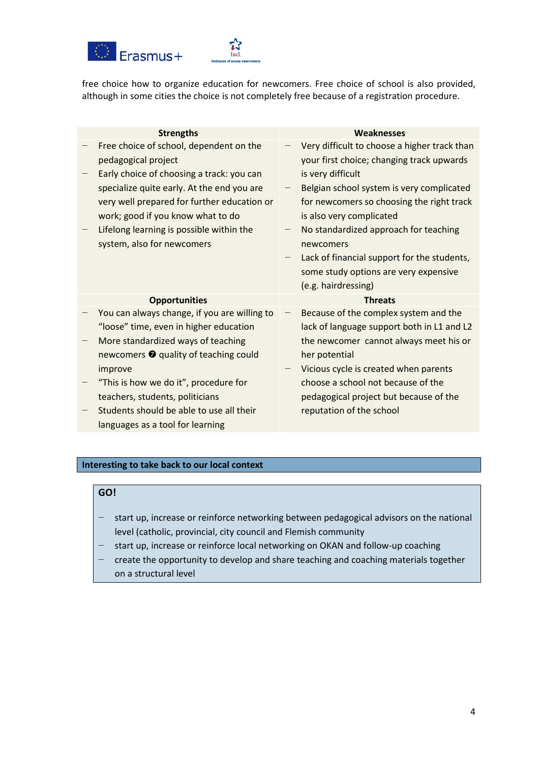



free choice how to organize education for newcomers. Free choice of school is also provided, although in some cities the choice is not completely free because of a registration procedure.

| <b>Strengths</b>                                                                 | Weaknesses                                                                                |
|----------------------------------------------------------------------------------|-------------------------------------------------------------------------------------------|
| Free choice of school, dependent on the<br>pedagogical project                   | Very difficult to choose a higher track than<br>your first choice; changing track upwards |
| Early choice of choosing a track: you can                                        | is very difficult                                                                         |
| specialize quite early. At the end you are                                       | Belgian school system is very complicated                                                 |
| very well prepared for further education or<br>work; good if you know what to do | for newcomers so choosing the right track<br>is also very complicated                     |
| Lifelong learning is possible within the                                         | No standardized approach for teaching                                                     |
| system, also for newcomers                                                       | newcomers                                                                                 |
|                                                                                  | Lack of financial support for the students,                                               |
|                                                                                  | some study options are very expensive                                                     |
|                                                                                  | (e.g. hairdressing)                                                                       |
| <b>Opportunities</b>                                                             | <b>Threats</b>                                                                            |
| You can always change, if you are willing to                                     | Because of the complex system and the                                                     |
| "loose" time, even in higher education                                           | lack of language support both in L1 and L2                                                |
| More standardized ways of teaching                                               | the newcomer cannot always meet his or                                                    |
| newcomers <sup>o</sup> quality of teaching could                                 | her potential                                                                             |
| improve                                                                          | Vicious cycle is created when parents                                                     |
| "This is how we do it", procedure for                                            | choose a school not because of the                                                        |
| teachers, students, politicians                                                  | pedagogical project but because of the                                                    |
|                                                                                  |                                                                                           |
| Students should be able to use all their                                         | reputation of the school                                                                  |

#### **Interesting to take back to our local context**

# **GO!**

- start up, increase or reinforce networking between pedagogical advisors on the national level (catholic, provincial, city council and Flemish community
- start up, increase or reinforce local networking on OKAN and follow-up coaching
- − create the opportunity to develop and share teaching and coaching materials together on a structural level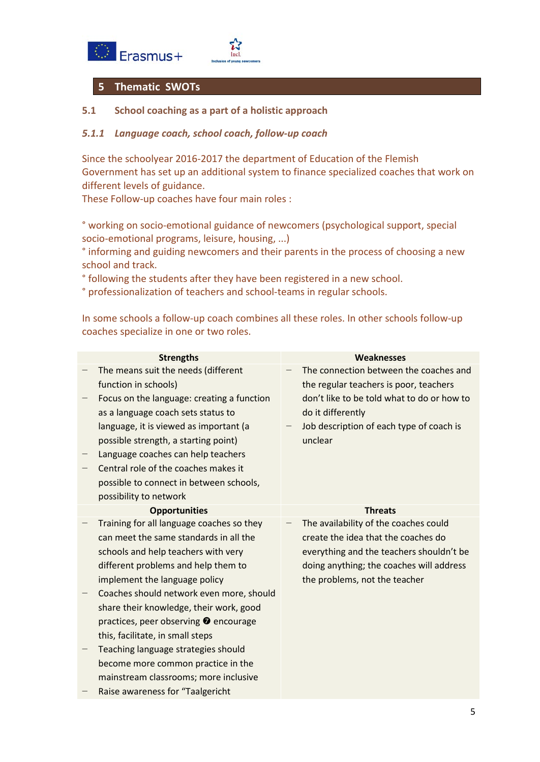



# <span id="page-4-0"></span>**5 Thematic SWOTs**

## <span id="page-4-1"></span>**5.1 School coaching as a part of a holistic approach**

## *5.1.1 Language coach, school coach, follow-up coach*

Since the schoolyear 2016-2017 the department of Education of the Flemish Government has set up an additional system to finance specialized coaches that work on different levels of guidance.

These Follow-up coaches have four main roles :

° working on socio-emotional guidance of newcomers (psychological support, special socio-emotional programs, leisure, housing, ...)

° informing and guiding newcomers and their parents in the process of choosing a new school and track.

° following the students after they have been registered in a new school.

° professionalization of teachers and school-teams in regular schools.

In some schools a follow-up coach combines all these roles. In other schools follow-up coaches specialize in one or two roles.

| <b>Strengths</b>                                                                 | <b>Weaknesses</b>                                                                |
|----------------------------------------------------------------------------------|----------------------------------------------------------------------------------|
| The means suit the needs (different<br>function in schools)                      | The connection between the coaches and<br>the regular teachers is poor, teachers |
| Focus on the language: creating a function<br>as a language coach sets status to | don't like to be told what to do or how to<br>do it differently                  |
| language, it is viewed as important (a<br>possible strength, a starting point)   | Job description of each type of coach is<br>unclear                              |
| Language coaches can help teachers                                               |                                                                                  |
| Central role of the coaches makes it                                             |                                                                                  |
| possible to connect in between schools,                                          |                                                                                  |
| possibility to network                                                           |                                                                                  |
| <b>Opportunities</b>                                                             | <b>Threats</b>                                                                   |
| Training for all language coaches so they                                        | The availability of the coaches could                                            |
| can meet the same standards in all the                                           | create the idea that the coaches do                                              |
| schools and help teachers with very                                              | everything and the teachers shouldn't be                                         |
| different problems and help them to                                              | doing anything; the coaches will address                                         |
| implement the language policy                                                    | the problems, not the teacher                                                    |
| Coaches should network even more, should                                         |                                                                                  |
| share their knowledge, their work, good                                          |                                                                                  |
| practices, peer observing <b>O</b> encourage                                     |                                                                                  |
| this, facilitate, in small steps                                                 |                                                                                  |
| Teaching language strategies should                                              |                                                                                  |
| become more common practice in the                                               |                                                                                  |
| mainstream classrooms; more inclusive                                            |                                                                                  |
| Raise awareness for "Taalgericht                                                 |                                                                                  |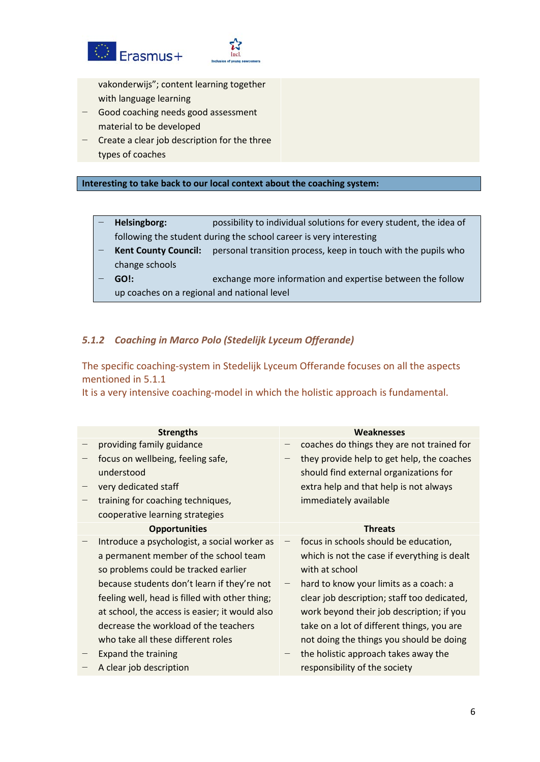



vakonderwijs"; content learning together with language learning

- − Good coaching needs good assessment material to be developed
- − Create a clear job description for the three types of coaches

#### **Interesting to take back to our local context about the coaching system:**

- **Helsingborg:** possibility to individual solutions for every student, the idea of following the student during the school career is very interesting
- **Kent County Council:** personal transition process, keep in touch with the pupils who change schools
- − **GO!:** exchange more information and expertise between the follow up coaches on a regional and national level

#### *5.1.2 Coaching in Marco Polo (Stedelijk Lyceum Offerande)*

The specific coaching-system in Stedelijk Lyceum Offerande focuses on all the aspects mentioned in 5.1.1

It is a very intensive coaching-model in which the holistic approach is fundamental.

| <b>Strengths</b>     |                                                                                                                                                                                                                                                                                                                                                                                                                                                                                                                                                                                                          | Weaknesses                                   |
|----------------------|----------------------------------------------------------------------------------------------------------------------------------------------------------------------------------------------------------------------------------------------------------------------------------------------------------------------------------------------------------------------------------------------------------------------------------------------------------------------------------------------------------------------------------------------------------------------------------------------------------|----------------------------------------------|
|                      |                                                                                                                                                                                                                                                                                                                                                                                                                                                                                                                                                                                                          | coaches do things they are not trained for   |
|                      |                                                                                                                                                                                                                                                                                                                                                                                                                                                                                                                                                                                                          | they provide help to get help, the coaches   |
|                      |                                                                                                                                                                                                                                                                                                                                                                                                                                                                                                                                                                                                          | should find external organizations for       |
|                      |                                                                                                                                                                                                                                                                                                                                                                                                                                                                                                                                                                                                          | extra help and that help is not always       |
|                      |                                                                                                                                                                                                                                                                                                                                                                                                                                                                                                                                                                                                          | immediately available                        |
|                      |                                                                                                                                                                                                                                                                                                                                                                                                                                                                                                                                                                                                          |                                              |
| <b>Opportunities</b> |                                                                                                                                                                                                                                                                                                                                                                                                                                                                                                                                                                                                          | <b>Threats</b>                               |
|                      |                                                                                                                                                                                                                                                                                                                                                                                                                                                                                                                                                                                                          | focus in schools should be education,        |
|                      |                                                                                                                                                                                                                                                                                                                                                                                                                                                                                                                                                                                                          | which is not the case if everything is dealt |
|                      |                                                                                                                                                                                                                                                                                                                                                                                                                                                                                                                                                                                                          | with at school                               |
|                      |                                                                                                                                                                                                                                                                                                                                                                                                                                                                                                                                                                                                          | hard to know your limits as a coach: a       |
|                      |                                                                                                                                                                                                                                                                                                                                                                                                                                                                                                                                                                                                          | clear job description; staff too dedicated,  |
|                      |                                                                                                                                                                                                                                                                                                                                                                                                                                                                                                                                                                                                          | work beyond their job description; if you    |
|                      |                                                                                                                                                                                                                                                                                                                                                                                                                                                                                                                                                                                                          | take on a lot of different things, you are   |
|                      |                                                                                                                                                                                                                                                                                                                                                                                                                                                                                                                                                                                                          | not doing the things you should be doing     |
|                      |                                                                                                                                                                                                                                                                                                                                                                                                                                                                                                                                                                                                          | the holistic approach takes away the         |
|                      |                                                                                                                                                                                                                                                                                                                                                                                                                                                                                                                                                                                                          | responsibility of the society                |
|                      | providing family guidance<br>focus on wellbeing, feeling safe,<br>understood<br>very dedicated staff<br>training for coaching techniques,<br>cooperative learning strategies<br>Introduce a psychologist, a social worker as<br>a permanent member of the school team<br>so problems could be tracked earlier<br>because students don't learn if they're not<br>feeling well, head is filled with other thing;<br>at school, the access is easier; it would also<br>decrease the workload of the teachers<br>who take all these different roles<br><b>Expand the training</b><br>A clear job description |                                              |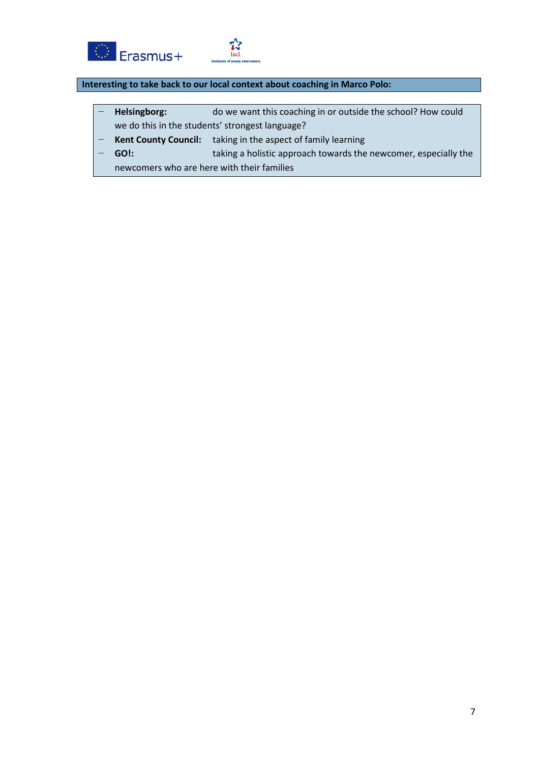



## **Interesting to take back to our local context about coaching in Marco Polo:**

- − **Helsingborg:** do we want this coaching in or outside the school? How could we do this in the students' strongest language?
- Kent County Council: taking in the aspect of family learning
- − **GO!:** taking a holistic approach towards the newcomer, especially the
	- newcomers who are here with their families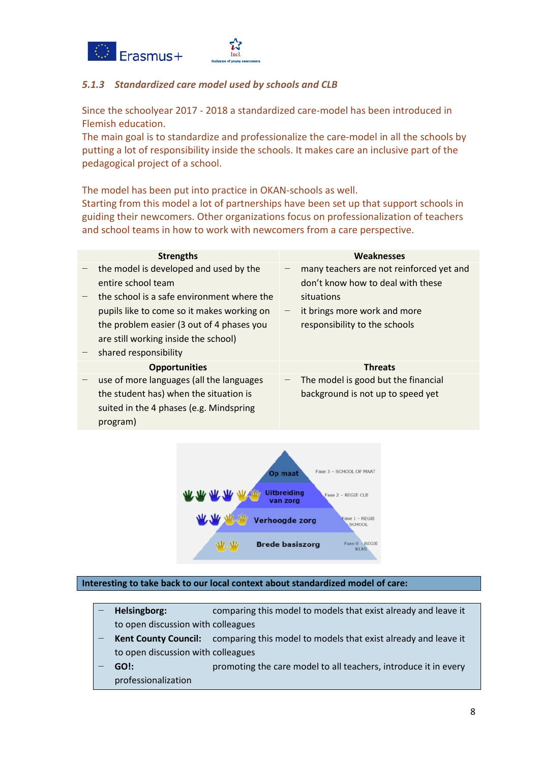



# *5.1.3 Standardized care model used by schools and CLB*

Since the schoolyear 2017 - 2018 a standardized care-model has been introduced in Flemish education.

The main goal is to standardize and professionalize the care-model in all the schools by putting a lot of responsibility inside the schools. It makes care an inclusive part of the pedagogical project of a school.

The model has been put into practice in OKAN-schools as well.

Starting from this model a lot of partnerships have been set up that support schools in guiding their newcomers. Other organizations focus on professionalization of teachers and school teams in how to work with newcomers from a care perspective.

|                                                                                                                                           | Weaknesses                                                                    |
|-------------------------------------------------------------------------------------------------------------------------------------------|-------------------------------------------------------------------------------|
| <b>Strengths</b>                                                                                                                          |                                                                               |
| the model is developed and used by the<br>entire school team                                                                              | many teachers are not reinforced yet and<br>don't know how to deal with these |
| the school is a safe environment where the                                                                                                | situations                                                                    |
| pupils like to come so it makes working on                                                                                                | it brings more work and more                                                  |
| the problem easier (3 out of 4 phases you<br>are still working inside the school)                                                         | responsibility to the schools                                                 |
| shared responsibility                                                                                                                     |                                                                               |
| <b>Opportunities</b>                                                                                                                      | <b>Threats</b>                                                                |
| use of more languages (all the languages<br>the student has) when the situation is<br>suited in the 4 phases (e.g. Mindspring<br>program) | The model is good but the financial<br>background is not up to speed yet      |



**Interesting to take back to our local context about standardized model of care:**

- **Helsingborg:** comparing this model to models that exist already and leave it to open discussion with colleagues
- Kent County Council: comparing this model to models that exist already and leave it to open discussion with colleagues
- **GO!:** promoting the care model to all teachers, introduce it in every professionalization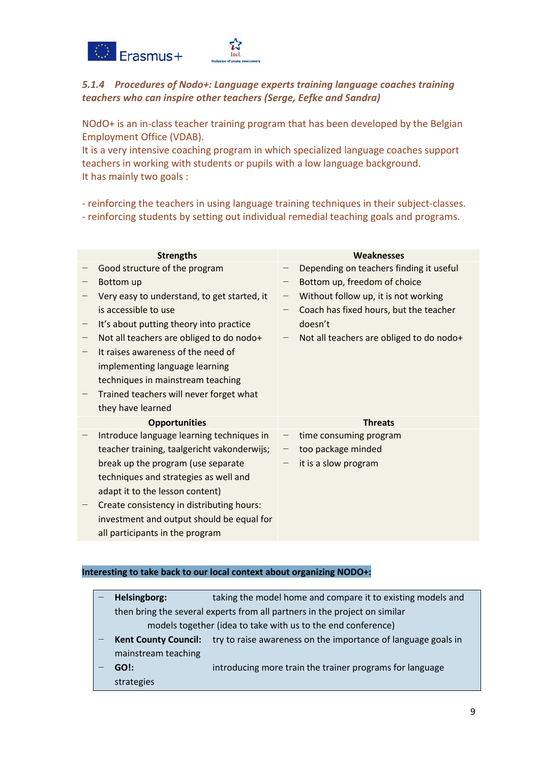

# *5.1.4 Procedures of Nodo+: Language experts training language coaches training teachers who can inspire other teachers (Serge, Eefke and Sandra)*

NOdO+ is an in-class teacher training program that has been developed by the Belgian Employment Office (VDAB).

It is a very intensive coaching program in which specialized language coaches support teachers in working with students or pupils with a low language background. It has mainly two goals :

- reinforcing the teachers in using language training techniques in their subject-classes.

- reinforcing students by setting out individual remedial teaching goals and programs.

| <b>Strengths</b>                            |                          | Weaknesses                               |
|---------------------------------------------|--------------------------|------------------------------------------|
| Good structure of the program               |                          | Depending on teachers finding it useful  |
| Bottom up                                   |                          | Bottom up, freedom of choice             |
| Very easy to understand, to get started, it | $\qquad \qquad -$        | Without follow up, it is not working     |
| is accessible to use                        |                          | Coach has fixed hours, but the teacher   |
| It's about putting theory into practice     |                          | doesn't                                  |
| Not all teachers are obliged to do nodo+    |                          | Not all teachers are obliged to do nodo+ |
| It raises awareness of the need of          |                          |                                          |
| implementing language learning              |                          |                                          |
| techniques in mainstream teaching           |                          |                                          |
| Trained teachers will never forget what     |                          |                                          |
| they have learned                           |                          |                                          |
| <b>Opportunities</b>                        |                          | <b>Threats</b>                           |
| Introduce language learning techniques in   | $\overline{\phantom{m}}$ | time consuming program                   |
| teacher training, taalgericht vakonderwijs; |                          | too package minded                       |
| break up the program (use separate          |                          | it is a slow program                     |
| techniques and strategies as well and       |                          |                                          |
| adapt it to the lesson content)             |                          |                                          |
| Create consistency in distributing hours:   |                          |                                          |
| investment and output should be equal for   |                          |                                          |
| all participants in the program             |                          |                                          |

#### **Interesting to take back to our local context about organizing NODO+:**

| Helsingborg:                                                               | taking the model home and compare it to existing models and   |  |  |  |  |
|----------------------------------------------------------------------------|---------------------------------------------------------------|--|--|--|--|
| then bring the several experts from all partners in the project on similar |                                                               |  |  |  |  |
| models together (idea to take with us to the end conference)               |                                                               |  |  |  |  |
| <b>Kent County Council:</b>                                                | try to raise awareness on the importance of language goals in |  |  |  |  |
| mainstream teaching                                                        |                                                               |  |  |  |  |
| GO!:                                                                       | introducing more train the trainer programs for language      |  |  |  |  |
| strategies                                                                 |                                                               |  |  |  |  |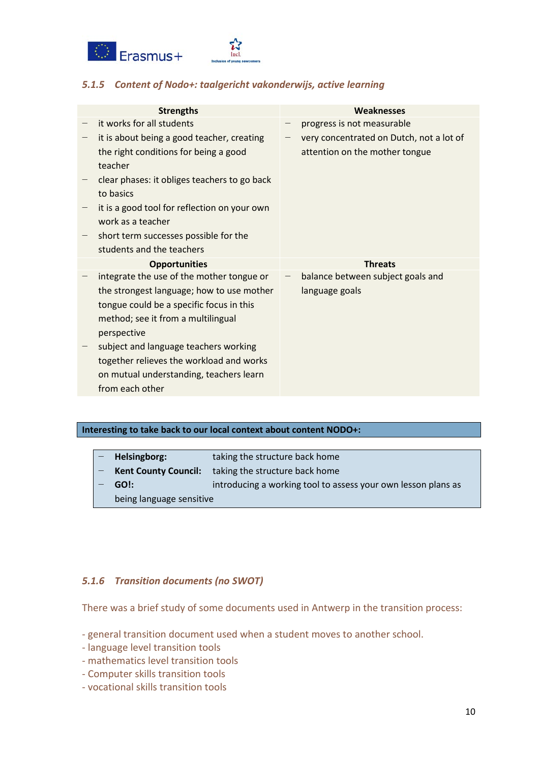



# *5.1.5 Content of Nodo+: taalgericht vakonderwijs, active learning*

| <b>Strengths</b>                                                                                                                                                                                                                                                                                                                           | Weaknesses                                                                 |
|--------------------------------------------------------------------------------------------------------------------------------------------------------------------------------------------------------------------------------------------------------------------------------------------------------------------------------------------|----------------------------------------------------------------------------|
| it works for all students                                                                                                                                                                                                                                                                                                                  | progress is not measurable                                                 |
| it is about being a good teacher, creating<br>the right conditions for being a good<br>teacher<br>clear phases: it obliges teachers to go back                                                                                                                                                                                             | very concentrated on Dutch, not a lot of<br>attention on the mother tongue |
| to basics<br>it is a good tool for reflection on your own<br>work as a teacher<br>short term successes possible for the<br>students and the teachers                                                                                                                                                                                       |                                                                            |
|                                                                                                                                                                                                                                                                                                                                            |                                                                            |
| <b>Opportunities</b>                                                                                                                                                                                                                                                                                                                       | <b>Threats</b>                                                             |
| integrate the use of the mother tongue or<br>the strongest language; how to use mother<br>tongue could be a specific focus in this<br>method; see it from a multilingual<br>perspective<br>subject and language teachers working<br>together relieves the workload and works<br>on mutual understanding, teachers learn<br>from each other | balance between subject goals and<br>language goals                        |

#### **Interesting to take back to our local context about content NODO+:**

| taking the structure back home<br><b>Kent County Council:</b>         |  |
|-----------------------------------------------------------------------|--|
|                                                                       |  |
| introducing a working tool to assess your own lesson plans as<br>GO!: |  |
| being language sensitive                                              |  |

# *5.1.6 Transition documents (no SWOT)*

There was a brief study of some documents used in Antwerp in the transition process:

- general transition document used when a student moves to another school.
- language level transition tools
- mathematics level transition tools
- Computer skills transition tools
- vocational skills transition tools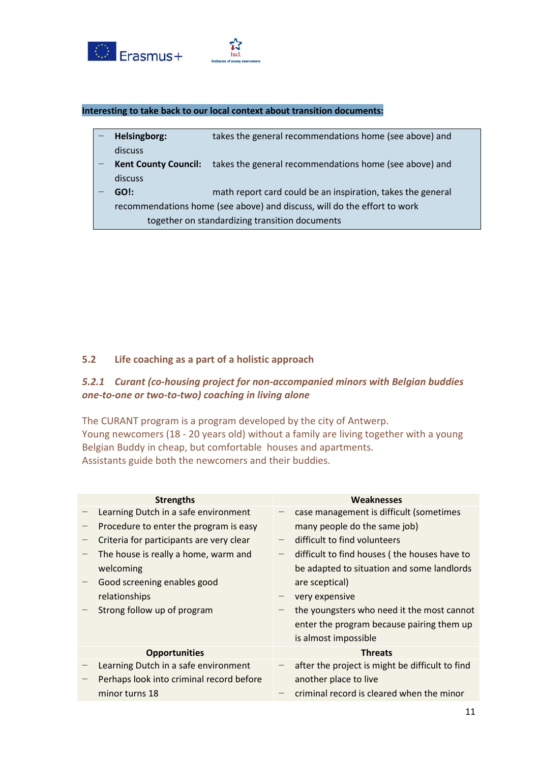



| Helsingborg:                | takes the general recommendations home (see above) and                   |
|-----------------------------|--------------------------------------------------------------------------|
| discuss                     |                                                                          |
| <b>Kent County Council:</b> | takes the general recommendations home (see above) and                   |
| discuss                     |                                                                          |
| GO!:                        | math report card could be an inspiration, takes the general              |
|                             | recommendations home (see above) and discuss, will do the effort to work |
|                             |                                                                          |

<span id="page-10-0"></span>together on standardizing transition documents

## **5.2 Life coaching as a part of a holistic approach**

# *5.2.1 Curant (co-housing project for non-accompanied minors with Belgian buddies one-to-one or two-to-two) coaching in living alone*

The CURANT program is a program developed by the city of Antwerp. Young newcomers (18 - 20 years old) without a family are living together with a young Belgian Buddy in cheap, but comfortable houses and apartments. Assistants guide both the newcomers and their buddies.

| <b>Strengths</b>                         | Weaknesses                                      |
|------------------------------------------|-------------------------------------------------|
| Learning Dutch in a safe environment     | case management is difficult (sometimes         |
| Procedure to enter the program is easy   | many people do the same job)                    |
| Criteria for participants are very clear | difficult to find volunteers                    |
| The house is really a home, warm and     | difficult to find houses (the houses have to    |
| welcoming                                | be adapted to situation and some landlords      |
| Good screening enables good              | are sceptical)                                  |
| relationships                            | very expensive                                  |
| Strong follow up of program              | the youngsters who need it the most cannot      |
|                                          | enter the program because pairing them up       |
|                                          | is almost impossible                            |
| <b>Opportunities</b>                     | <b>Threats</b>                                  |
| Learning Dutch in a safe environment     | after the project is might be difficult to find |
| Perhaps look into criminal record before | another place to live                           |
| minor turns 18                           | criminal record is cleared when the minor       |
|                                          |                                                 |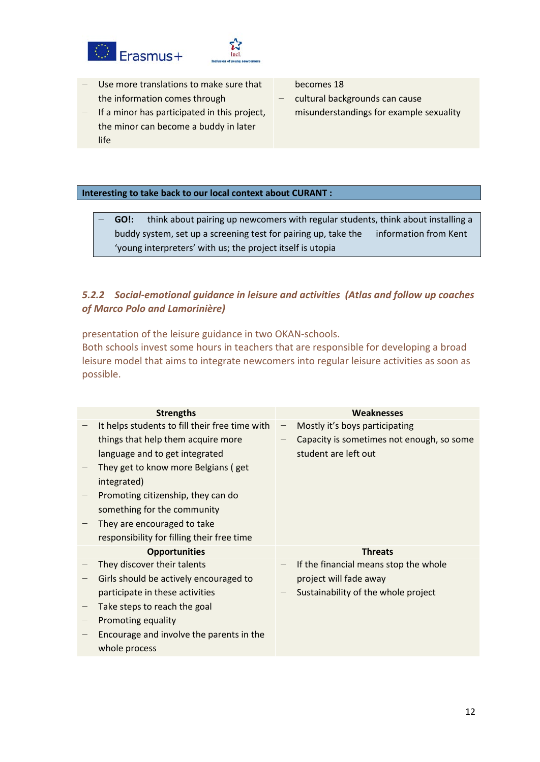



- − Use more translations to make sure that the information comes through
- − If a minor has participated in this project, the minor can become a buddy in later life

becomes 18

− cultural backgrounds can cause misunderstandings for example sexuality

#### **Interesting to take back to our local context about CURANT :**

− **GO!:** think about pairing up newcomers with regular students, think about installing a buddy system, set up a screening test for pairing up, take the information from Kent 'young interpreters' with us; the project itself is utopia

# *5.2.2 Social-emotional guidance in leisure and activities (Atlas and follow up coaches of Marco Polo and Lamorinière)*

presentation of the leisure guidance in two OKAN-schools.

Both schools invest some hours in teachers that are responsible for developing a broad leisure model that aims to integrate newcomers into regular leisure activities as soon as possible.

| <b>Strengths</b>                               |                          | Weaknesses                                |
|------------------------------------------------|--------------------------|-------------------------------------------|
| It helps students to fill their free time with | $\overline{\phantom{0}}$ | Mostly it's boys participating            |
| things that help them acquire more             |                          | Capacity is sometimes not enough, so some |
| language and to get integrated                 |                          | student are left out                      |
| They get to know more Belgians (get            |                          |                                           |
| integrated)                                    |                          |                                           |
| Promoting citizenship, they can do             |                          |                                           |
| something for the community                    |                          |                                           |
| They are encouraged to take                    |                          |                                           |
| responsibility for filling their free time     |                          |                                           |
|                                                |                          |                                           |
| <b>Opportunities</b>                           |                          | <b>Threats</b>                            |
| They discover their talents                    |                          | If the financial means stop the whole     |
| Girls should be actively encouraged to         |                          | project will fade away                    |
| participate in these activities                |                          | Sustainability of the whole project       |
| Take steps to reach the goal                   |                          |                                           |
| Promoting equality                             |                          |                                           |
| Encourage and involve the parents in the       |                          |                                           |
| whole process                                  |                          |                                           |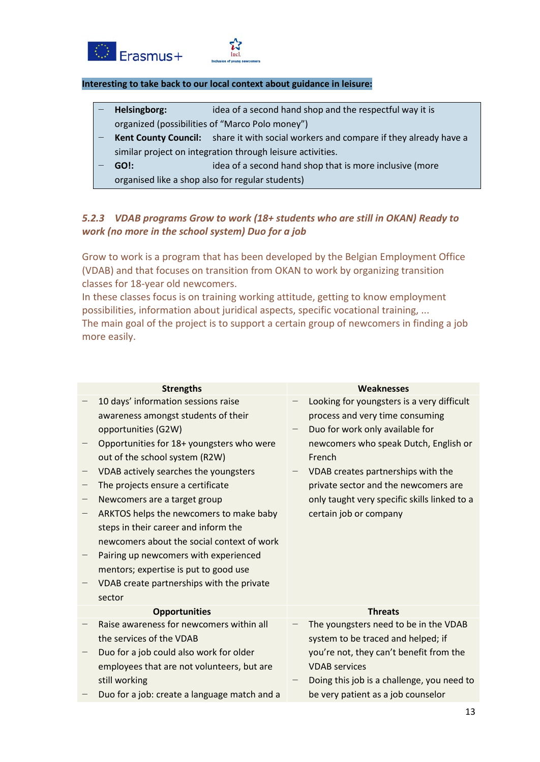



#### **Interesting to take back to our local context about guidance in leisure:**

- **Helsingborg:** idea of a second hand shop and the respectful way it is organized (possibilities of "Marco Polo money")
- Kent County Council: share it with social workers and compare if they already have a similar project on integration through leisure activities.
- **GO!: idea of a second hand shop that is more inclusive (more** organised like a shop also for regular students)

# *5.2.3 VDAB programs Grow to work (18+ students who are still in OKAN) Ready to work (no more in the school system) Duo for a job*

Grow to work is a program that has been developed by the Belgian Employment Office (VDAB) and that focuses on transition from OKAN to work by organizing transition classes for 18-year old newcomers.

In these classes focus is on training working attitude, getting to know employment possibilities, information about juridical aspects, specific vocational training, ... The main goal of the project is to support a certain group of newcomers in finding a job more easily.

| <b>Strengths</b>                             | Weaknesses                                   |
|----------------------------------------------|----------------------------------------------|
| 10 days' information sessions raise          | Looking for youngsters is a very difficult   |
| awareness amongst students of their          | process and very time consuming              |
| opportunities (G2W)                          | Duo for work only available for              |
| Opportunities for 18+ youngsters who were    | newcomers who speak Dutch, English or        |
| out of the school system (R2W)               | French                                       |
| VDAB actively searches the youngsters        | VDAB creates partnerships with the           |
| The projects ensure a certificate            | private sector and the newcomers are         |
| Newcomers are a target group                 | only taught very specific skills linked to a |
| ARKTOS helps the newcomers to make baby      | certain job or company                       |
| steps in their career and inform the         |                                              |
| newcomers about the social context of work   |                                              |
| Pairing up newcomers with experienced        |                                              |
| mentors; expertise is put to good use        |                                              |
| VDAB create partnerships with the private    |                                              |
| sector                                       |                                              |
| <b>Opportunities</b>                         | <b>Threats</b>                               |
| Raise awareness for newcomers within all     | The youngsters need to be in the VDAB        |
| the services of the VDAB                     | system to be traced and helped; if           |
| Duo for a job could also work for older      | you're not, they can't benefit from the      |
| employees that are not volunteers, but are   | <b>VDAB</b> services                         |
| still working                                | Doing this job is a challenge, you need to   |
| Duo for a job: create a language match and a | be very patient as a job counselor           |
|                                              |                                              |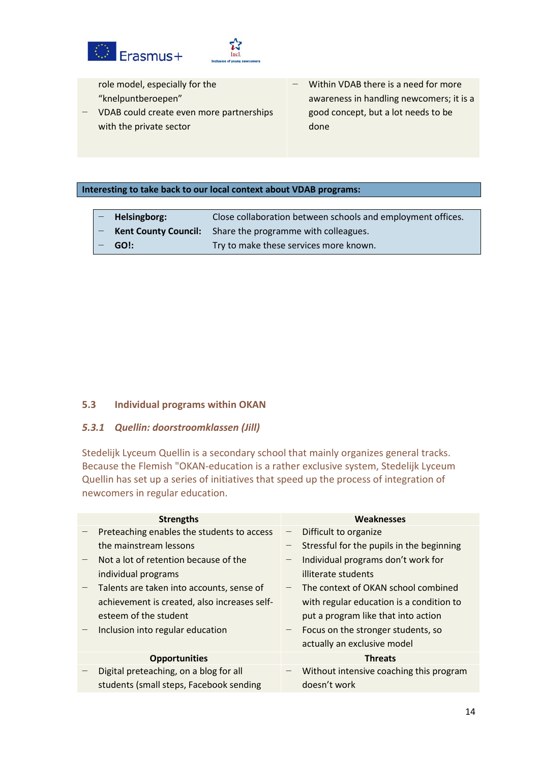



- role model, especially for the "knelpuntberoepen"
- − VDAB could create even more partnerships with the private sector
- − Within VDAB there is a need for more awareness in handling newcomers; it is a good concept, but a lot needs to be done

#### **Interesting to take back to our local context about VDAB programs:**

<span id="page-13-0"></span>

| - Helsingborg: | Close collaboration between schools and employment offices.      |
|----------------|------------------------------------------------------------------|
|                | <b>Kent County Council:</b> Share the programme with colleagues. |
| $-$ GO!:       | Try to make these services more known.                           |

## **5.3 Individual programs within OKAN**

# *5.3.1 Quellin: doorstroomklassen (Jill)*

Stedelijk Lyceum Quellin is a secondary school that mainly organizes general tracks. Because the Flemish "OKAN-education is a rather exclusive system, Stedelijk Lyceum Quellin has set up a series of initiatives that speed up the process of integration of newcomers in regular education.

| <b>Strengths</b>                             |                          | Weaknesses                                |
|----------------------------------------------|--------------------------|-------------------------------------------|
| Preteaching enables the students to access   | $\overline{\phantom{m}}$ | Difficult to organize                     |
| the mainstream lessons                       |                          | Stressful for the pupils in the beginning |
| Not a lot of retention because of the        |                          | Individual programs don't work for        |
| individual programs                          |                          | illiterate students                       |
| Talents are taken into accounts, sense of    | $\overline{\phantom{m}}$ | The context of OKAN school combined       |
| achievement is created, also increases self- |                          | with regular education is a condition to  |
| esteem of the student                        |                          | put a program like that into action       |
| Inclusion into regular education             |                          | Focus on the stronger students, so        |
|                                              |                          | actually an exclusive model               |
| <b>Opportunities</b>                         |                          | <b>Threats</b>                            |
| Digital preteaching, on a blog for all       |                          | Without intensive coaching this program   |
| students (small steps, Facebook sending      |                          | doesn't work                              |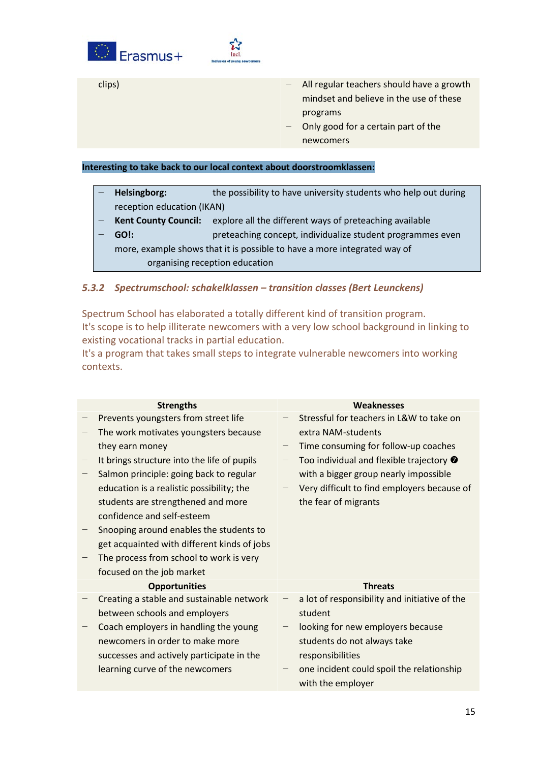



clips) − All regular teachers should have a growth mindset and believe in the use of these programs

− Only good for a certain part of the newcomers

#### **Interesting to take back to our local context about doorstroomklassen:**

- **Helsingborg:** the possibility to have university students who help out during reception education (IKAN)
- Kent County Council: explore all the different ways of preteaching available
- − **GO!:** preteaching concept, individualize student programmes even more, example shows that it is possible to have a more integrated way of

organising reception education

## *5.3.2 Spectrumschool: schakelklassen – transition classes (Bert Leunckens)*

Spectrum School has elaborated a totally different kind of transition program. It's scope is to help illiterate newcomers with a very low school background in linking to existing vocational tracks in partial education.

It's a program that takes small steps to integrate vulnerable newcomers into working contexts.

| <b>Strengths</b> |                                             | <b>Weaknesses</b>                                |  |  |
|------------------|---------------------------------------------|--------------------------------------------------|--|--|
|                  | Prevents youngsters from street life        | Stressful for teachers in L&W to take on         |  |  |
|                  | The work motivates youngsters because       | extra NAM-students                               |  |  |
|                  | they earn money                             | Time consuming for follow-up coaches             |  |  |
|                  | It brings structure into the life of pupils | Too individual and flexible trajectory $\bullet$ |  |  |
|                  | Salmon principle: going back to regular     | with a bigger group nearly impossible            |  |  |
|                  | education is a realistic possibility; the   | Very difficult to find employers because of      |  |  |
|                  | students are strengthened and more          | the fear of migrants                             |  |  |
|                  | confidence and self-esteem                  |                                                  |  |  |
|                  | Snooping around enables the students to     |                                                  |  |  |
|                  | get acquainted with different kinds of jobs |                                                  |  |  |
|                  | The process from school to work is very     |                                                  |  |  |
|                  | focused on the job market                   |                                                  |  |  |
|                  | <b>Opportunities</b>                        | <b>Threats</b>                                   |  |  |
|                  | Creating a stable and sustainable network   | a lot of responsibility and initiative of the    |  |  |
|                  | between schools and employers               | student                                          |  |  |
|                  | Coach employers in handling the young       | looking for new employers because                |  |  |
|                  | newcomers in order to make more             | students do not always take                      |  |  |
|                  | successes and actively participate in the   | responsibilities                                 |  |  |
|                  | learning curve of the newcomers             | one incident could spoil the relationship        |  |  |
|                  |                                             | with the employer                                |  |  |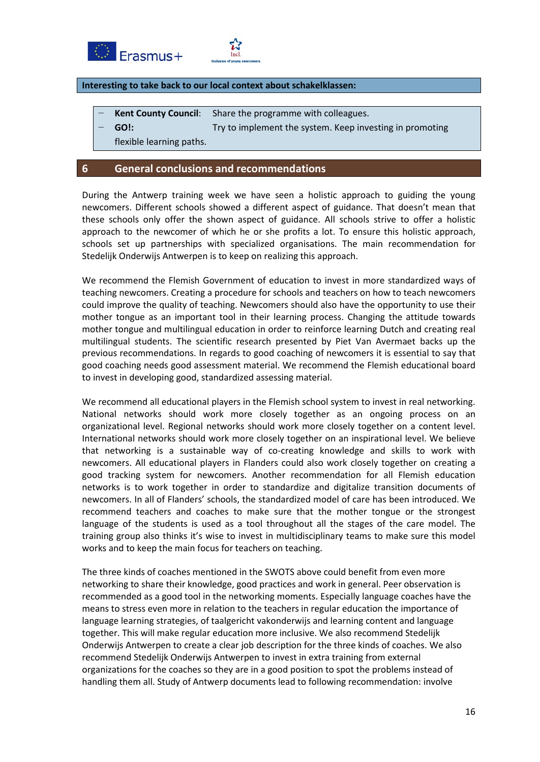



#### **Interesting to take back to our local context about schakelklassen:**

- **Kent County Council:** Share the programme with colleagues.
	- **GO!:** Try to implement the system. Keep investing in promoting in the system. Keep investing in promoting

flexible learning paths.

## <span id="page-15-0"></span>**6 General conclusions and recommendations**

During the Antwerp training week we have seen a holistic approach to guiding the young newcomers. Different schools showed a different aspect of guidance. That doesn't mean that these schools only offer the shown aspect of guidance. All schools strive to offer a holistic approach to the newcomer of which he or she profits a lot. To ensure this holistic approach, schools set up partnerships with specialized organisations. The main recommendation for Stedelijk Onderwijs Antwerpen is to keep on realizing this approach.

We recommend the Flemish Government of education to invest in more standardized ways of teaching newcomers. Creating a procedure for schools and teachers on how to teach newcomers could improve the quality of teaching. Newcomers should also have the opportunity to use their mother tongue as an important tool in their learning process. Changing the attitude towards mother tongue and multilingual education in order to reinforce learning Dutch and creating real multilingual students. The scientific research presented by Piet Van Avermaet backs up the previous recommendations. In regards to good coaching of newcomers it is essential to say that good coaching needs good assessment material. We recommend the Flemish educational board to invest in developing good, standardized assessing material.

We recommend all educational players in the Flemish school system to invest in real networking. National networks should work more closely together as an ongoing process on an organizational level. Regional networks should work more closely together on a content level. International networks should work more closely together on an inspirational level. We believe that networking is a sustainable way of co-creating knowledge and skills to work with newcomers. All educational players in Flanders could also work closely together on creating a good tracking system for newcomers. Another recommendation for all Flemish education networks is to work together in order to standardize and digitalize transition documents of newcomers. In all of Flanders' schools, the standardized model of care has been introduced. We recommend teachers and coaches to make sure that the mother tongue or the strongest language of the students is used as a tool throughout all the stages of the care model. The training group also thinks it's wise to invest in multidisciplinary teams to make sure this model works and to keep the main focus for teachers on teaching.

The three kinds of coaches mentioned in the SWOTS above could benefit from even more networking to share their knowledge, good practices and work in general. Peer observation is recommended as a good tool in the networking moments. Especially language coaches have the means to stress even more in relation to the teachers in regular education the importance of language learning strategies, of taalgericht vakonderwijs and learning content and language together. This will make regular education more inclusive. We also recommend Stedelijk Onderwijs Antwerpen to create a clear job description for the three kinds of coaches. We also recommend Stedelijk Onderwijs Antwerpen to invest in extra training from external organizations for the coaches so they are in a good position to spot the problems instead of handling them all. Study of Antwerp documents lead to following recommendation: involve